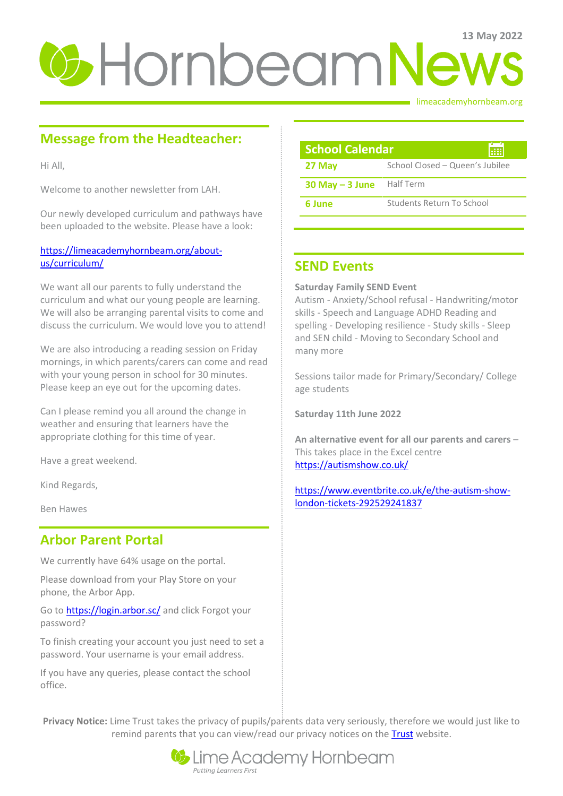# **U**-HornbeamNews

### limeacademyhornbeam.org

# **Message from the Headteacher:**

Hi All,

Welcome to another newsletter from LAH.

Our newly developed curriculum and pathways have been uploaded to the website. Please have a look:

### [https://limeacademyhornbeam.org/about](https://limeacademyhornbeam.org/about-us/curriculum/)[us/curriculum/](https://limeacademyhornbeam.org/about-us/curriculum/)

We want all our parents to fully understand the curriculum and what our young people are learning. We will also be arranging parental visits to come and discuss the curriculum. We would love you to attend!

We are also introducing a reading session on Friday mornings, in which parents/carers can come and read with your young person in school for 30 minutes. Please keep an eye out for the upcoming dates.

Can I please remind you all around the change in weather and ensuring that learners have the appropriate clothing for this time of year.

Have a great weekend.

Kind Regards,

Ben Hawes

### **Arbor Parent Portal**

We currently have 64% usage on the portal.

Please download from your Play Store on your phone, the Arbor App.

Go to **https://login.arbor.sc/** and click Forgot your password?

To finish creating your account you just need to set a password. Your username is your email address.

If you have any queries, please contact the school office.

| <b>School Calendar</b><br>疆 |                                 |
|-----------------------------|---------------------------------|
| 27 May                      | School Closed - Queen's Jubilee |
| $30$ May $-$ 3 June         | Half Term                       |
| 6 June                      | Students Return To School       |

### **SEND Events**

**Saturday Family SEND Event**

Autism - Anxiety/School refusal - Handwriting/motor skills - Speech and Language ADHD Reading and spelling - Developing resilience - Study skills - Sleep and SEN child - Moving to Secondary School and many more

Sessions tailor made for Primary/Secondary/ College age students

**Saturday 11th June 2022**

**An alternative event for all our parents and carers** – This takes place in the Excel centre <https://autismshow.co.uk/>

[https://www.eventbrite.co.uk/e/the-autism-show](https://www.eventbrite.co.uk/e/the-autism-show-london-tickets-292529241837)[london-tickets-292529241837](https://www.eventbrite.co.uk/e/the-autism-show-london-tickets-292529241837)

**Privacy Notice:** Lime Trust takes the privacy of pupils/parents data very seriously, therefore we would just like to remind parents that you can view/read our privacy notices on the [Trust](http://limetrust.org/lime-trust-information/policies/) website.

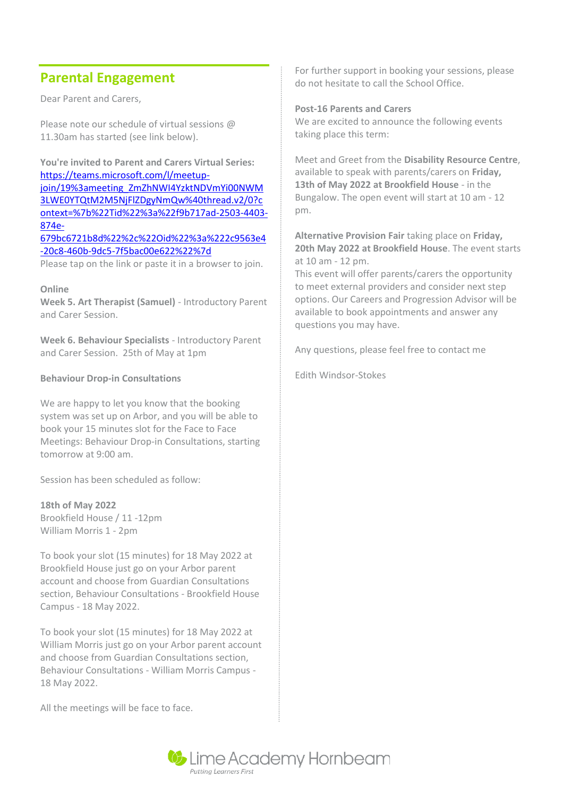# **Parental Engagement**

Dear Parent and Carers,

Please note our schedule of virtual sessions @ 11.30am has started (see link below).

**You're invited to Parent and Carers Virtual Series:**  [https://teams.microsoft.com/l/meetup](https://teams.microsoft.com/l/meetup-join/19%3ameeting_ZmZhNWI4YzktNDVmYi00NWM3LWE0YTQtM2M5NjFlZDgyNmQw%40thread.v2/0?context=%7b%22Tid%22%3a%22f9b717ad-2503-4403-874e-679bc6721b8d%22%2c%22Oid%22%3a%222c9563e4-20c8-460b-9dc5-7f5bac00e622%22%7d)[join/19%3ameeting\\_ZmZhNWI4YzktNDVmYi00NWM](https://teams.microsoft.com/l/meetup-join/19%3ameeting_ZmZhNWI4YzktNDVmYi00NWM3LWE0YTQtM2M5NjFlZDgyNmQw%40thread.v2/0?context=%7b%22Tid%22%3a%22f9b717ad-2503-4403-874e-679bc6721b8d%22%2c%22Oid%22%3a%222c9563e4-20c8-460b-9dc5-7f5bac00e622%22%7d) [3LWE0YTQtM2M5NjFlZDgyNmQw%40thread.v2/0?c](https://teams.microsoft.com/l/meetup-join/19%3ameeting_ZmZhNWI4YzktNDVmYi00NWM3LWE0YTQtM2M5NjFlZDgyNmQw%40thread.v2/0?context=%7b%22Tid%22%3a%22f9b717ad-2503-4403-874e-679bc6721b8d%22%2c%22Oid%22%3a%222c9563e4-20c8-460b-9dc5-7f5bac00e622%22%7d) [ontext=%7b%22Tid%22%3a%22f9b717ad-2503-4403-](https://teams.microsoft.com/l/meetup-join/19%3ameeting_ZmZhNWI4YzktNDVmYi00NWM3LWE0YTQtM2M5NjFlZDgyNmQw%40thread.v2/0?context=%7b%22Tid%22%3a%22f9b717ad-2503-4403-874e-679bc6721b8d%22%2c%22Oid%22%3a%222c9563e4-20c8-460b-9dc5-7f5bac00e622%22%7d) [874e-](https://teams.microsoft.com/l/meetup-join/19%3ameeting_ZmZhNWI4YzktNDVmYi00NWM3LWE0YTQtM2M5NjFlZDgyNmQw%40thread.v2/0?context=%7b%22Tid%22%3a%22f9b717ad-2503-4403-874e-679bc6721b8d%22%2c%22Oid%22%3a%222c9563e4-20c8-460b-9dc5-7f5bac00e622%22%7d)[679bc6721b8d%22%2c%22Oid%22%3a%222c9563e4](https://teams.microsoft.com/l/meetup-join/19%3ameeting_ZmZhNWI4YzktNDVmYi00NWM3LWE0YTQtM2M5NjFlZDgyNmQw%40thread.v2/0?context=%7b%22Tid%22%3a%22f9b717ad-2503-4403-874e-679bc6721b8d%22%2c%22Oid%22%3a%222c9563e4-20c8-460b-9dc5-7f5bac00e622%22%7d)

[-20c8-460b-9dc5-7f5bac00e622%22%7d](https://teams.microsoft.com/l/meetup-join/19%3ameeting_ZmZhNWI4YzktNDVmYi00NWM3LWE0YTQtM2M5NjFlZDgyNmQw%40thread.v2/0?context=%7b%22Tid%22%3a%22f9b717ad-2503-4403-874e-679bc6721b8d%22%2c%22Oid%22%3a%222c9563e4-20c8-460b-9dc5-7f5bac00e622%22%7d)

Please tap on the link or paste it in a browser to join.

**Online** 

**Week 5. Art Therapist (Samuel)** - Introductory Parent and Carer Session.

**Week 6. Behaviour Specialists** - Introductory Parent and Carer Session. 25th of May at 1pm

### **Behaviour Drop-in Consultations**

We are happy to let you know that the booking system was set up on Arbor, and you will be able to book your 15 minutes slot for the Face to Face Meetings: Behaviour Drop-in Consultations, starting tomorrow at 9:00 am.

Session has been scheduled as follow:

**18th of May 2022** Brookfield House / 11 -12pm William Morris 1 - 2pm

To book your slot (15 minutes) for 18 May 2022 at Brookfield House just go on your Arbor parent account and choose from Guardian Consultations section, Behaviour Consultations - Brookfield House Campus - 18 May 2022.

To book your slot (15 minutes) for 18 May 2022 at William Morris just go on your Arbor parent account and choose from Guardian Consultations section, Behaviour Consultations - William Morris Campus - 18 May 2022.

All the meetings will be face to face.

For further support in booking your sessions, please do not hesitate to call the School Office.

### **Post-16 Parents and Carers**

We are excited to announce the following events taking place this term:

Meet and Greet from the **Disability Resource Centre**, available to speak with parents/carers on **Friday, 13th of May 2022 at Brookfield House** - in the Bungalow. The open event will start at 10 am - 12 pm.

**Alternative Provision Fair** taking place on **Friday, 20th May 2022 at Brookfield House**. The event starts at 10 am - 12 pm.

This event will offer parents/carers the opportunity to meet external providers and consider next step options. Our Careers and Progression Advisor will be available to book appointments and answer any questions you may have.

Any questions, please feel free to contact me

Edith Windsor-Stokes

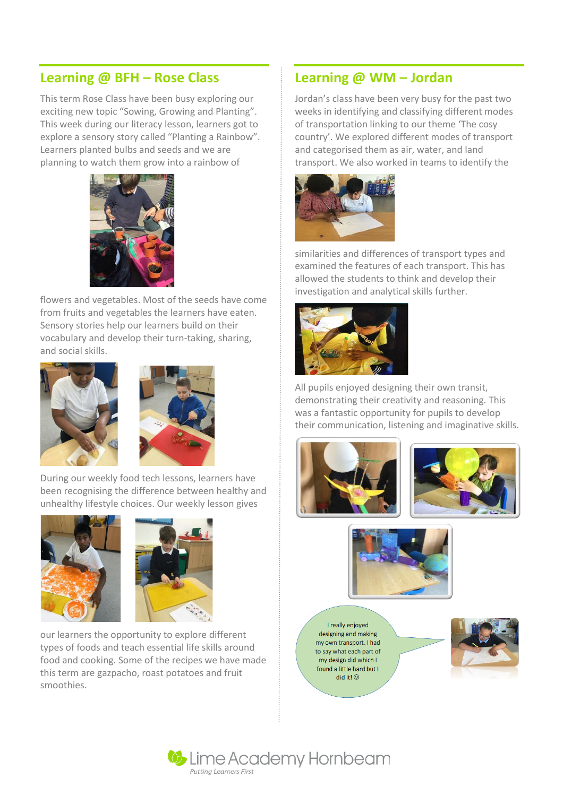# **Learning @ BFH – Rose Class**

This term Rose Class have been busy exploring our exciting new topic "Sowing, Growing and Planting". This week during our literacy lesson, learners got to explore a sensory story called "Planting a Rainbow". Learners planted bulbs and seeds and we are planning to watch them grow into a rainbow of



flowers and vegetables. Most of the seeds have come from fruits and vegetables the learners have eaten. Sensory stories help our learners build on their vocabulary and develop their turn-taking, sharing, and social skills.





During our weekly food tech lessons, learners have been recognising the difference between healthy and unhealthy lifestyle choices. Our weekly lesson gives





our learners the opportunity to explore different types of foods and teach essential life skills around food and cooking. Some of the recipes we have made this term are gazpacho, roast potatoes and fruit smoothies.

## **Learning @ WM – Jordan**

Jordan's class have been very busy for the past two weeks in identifying and classifying different modes of transportation linking to our theme 'The cosy country'. We explored different modes of transport and categorised them as air, water, and land transport. We also worked in teams to identify the



similarities and differences of transport types and examined the features of each transport. This has allowed the students to think and develop their investigation and analytical skills further.



All pupils enjoyed designing their own transit, demonstrating their creativity and reasoning. This was a fantastic opportunity for pupils to develop their communication, listening and imaginative skills.







I really enjoyed designing and making my own transport. I had to say what each part of my design did which I found a little hard but I did it!  $\odot$